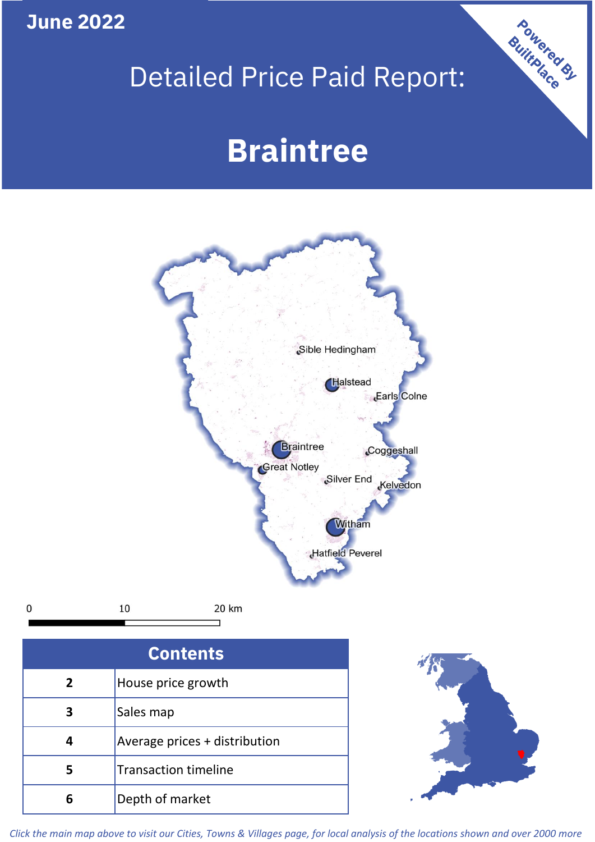## **June 2022**

## Detailed Price Paid Report:

# **Braintree**



 $\mathbf 0$ 

20 km

| <b>Contents</b> |                               |  |  |
|-----------------|-------------------------------|--|--|
| $\overline{2}$  | House price growth            |  |  |
| 3               | Sales map                     |  |  |
|                 | Average prices + distribution |  |  |
| 5               | <b>Transaction timeline</b>   |  |  |
|                 | Depth of market               |  |  |



Powered By

*Click the main map above to visit our Cities, Towns & Villages page, for local analysis of the locations shown and over 2000 more*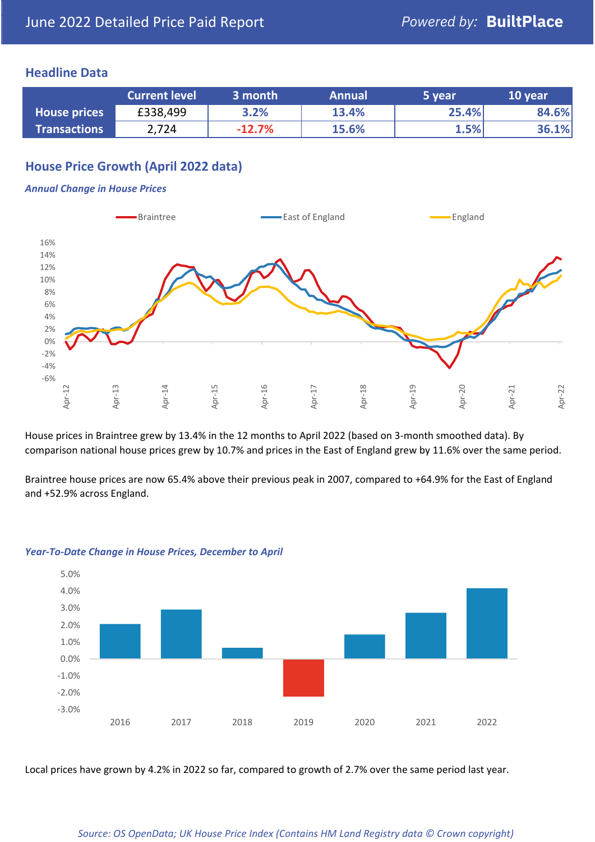#### **Headline Data**

|                     | <b>Current level</b> | 3 month  | <b>Annual</b> | 5 year | 10 year |
|---------------------|----------------------|----------|---------------|--------|---------|
| <b>House prices</b> | £338,499             | 3.2%     | 13.4%         | 25.4%  | 84.6%   |
| <b>Transactions</b> | 2,724                | $-12.7%$ | 15.6%         | 1.5%   | 36.1%   |

## **House Price Growth (April 2022 data)**

#### *Annual Change in House Prices*



House prices in Braintree grew by 13.4% in the 12 months to April 2022 (based on 3-month smoothed data). By comparison national house prices grew by 10.7% and prices in the East of England grew by 11.6% over the same period.

Braintree house prices are now 65.4% above their previous peak in 2007, compared to +64.9% for the East of England and +52.9% across England.



#### *Year-To-Date Change in House Prices, December to April*

Local prices have grown by 4.2% in 2022 so far, compared to growth of 2.7% over the same period last year.

#### *Source: OS OpenData; UK House Price Index (Contains HM Land Registry data © Crown copyright)*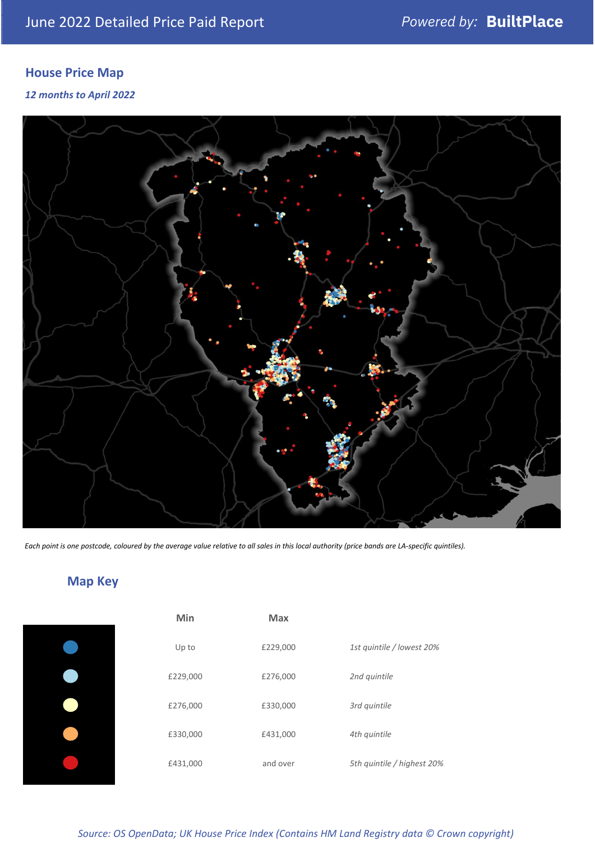## **House Price Map**

#### *12 months to April 2022*



*Each point is one postcode, coloured by the average value relative to all sales in this local authority (price bands are LA-specific quintiles).*

## **Map Key**

| Min      | <b>Max</b> |                            |
|----------|------------|----------------------------|
| Up to    | £229,000   | 1st quintile / lowest 20%  |
| £229,000 | £276,000   | 2nd quintile               |
| £276,000 | £330,000   | 3rd quintile               |
| £330,000 | £431,000   | 4th quintile               |
| £431,000 | and over   | 5th quintile / highest 20% |

#### *Source: OS OpenData; UK House Price Index (Contains HM Land Registry data © Crown copyright)*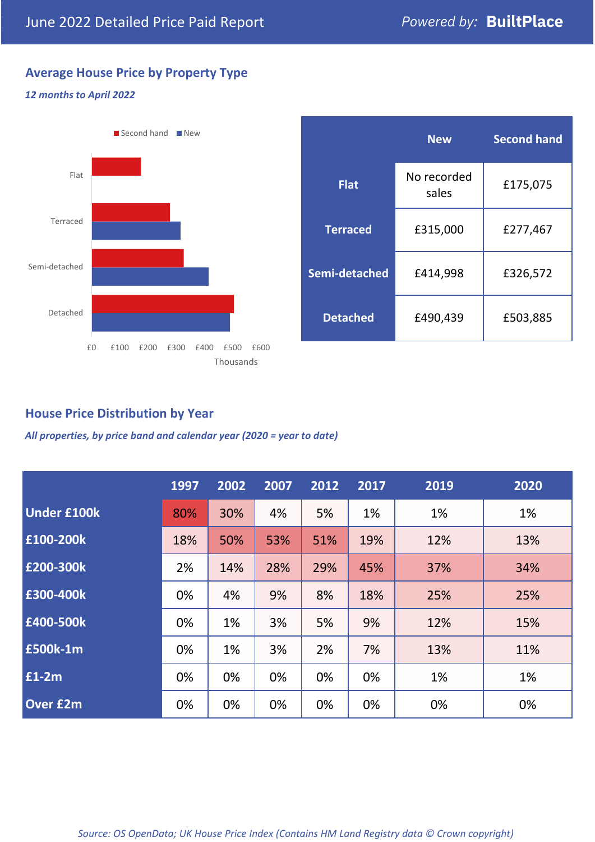## **Average House Price by Property Type**

#### *12 months to April 2022*



|                 | <b>New</b>           | <b>Second hand</b> |  |  |
|-----------------|----------------------|--------------------|--|--|
| <b>Flat</b>     | No recorded<br>sales | £175,075           |  |  |
| <b>Terraced</b> | £315,000             | £277,467           |  |  |
| Semi-detached   | £414,998             | £326,572           |  |  |
| <b>Detached</b> | £490,439             | £503,885           |  |  |

## **House Price Distribution by Year**

*All properties, by price band and calendar year (2020 = year to date)*

|                    | 1997 | 2002 | 2007 | 2012 | 2017 | 2019 | 2020 |
|--------------------|------|------|------|------|------|------|------|
| <b>Under £100k</b> | 80%  | 30%  | 4%   | 5%   | 1%   | 1%   | 1%   |
| £100-200k          | 18%  | 50%  | 53%  | 51%  | 19%  | 12%  | 13%  |
| E200-300k          | 2%   | 14%  | 28%  | 29%  | 45%  | 37%  | 34%  |
| £300-400k          | 0%   | 4%   | 9%   | 8%   | 18%  | 25%  | 25%  |
| £400-500k          | 0%   | 1%   | 3%   | 5%   | 9%   | 12%  | 15%  |
| <b>£500k-1m</b>    | 0%   | 1%   | 3%   | 2%   | 7%   | 13%  | 11%  |
| £1-2m              | 0%   | 0%   | 0%   | 0%   | 0%   | 1%   | 1%   |
| <b>Over £2m</b>    | 0%   | 0%   | 0%   | 0%   | 0%   | 0%   | 0%   |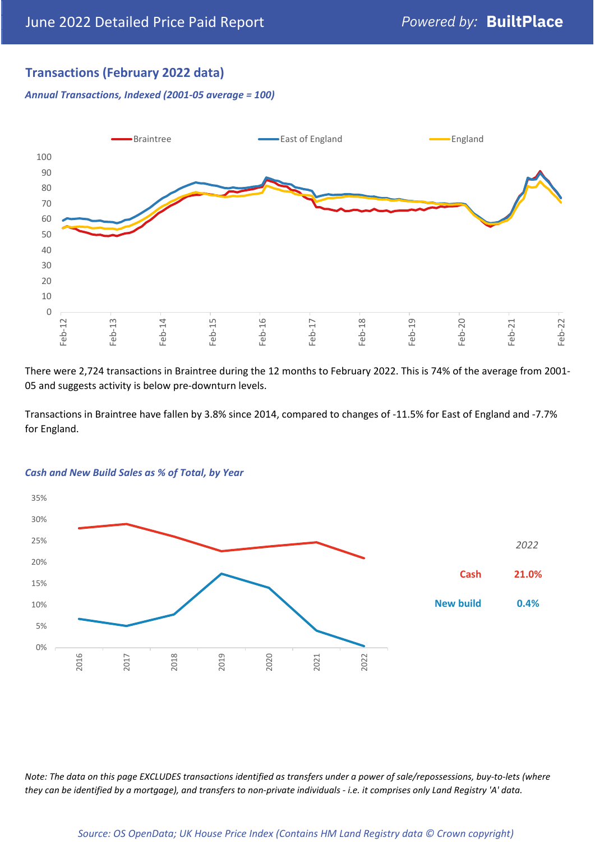## **Transactions (February 2022 data)**

*Annual Transactions, Indexed (2001-05 average = 100)*



There were 2,724 transactions in Braintree during the 12 months to February 2022. This is 74% of the average from 2001- 05 and suggests activity is below pre-downturn levels.

Transactions in Braintree have fallen by 3.8% since 2014, compared to changes of -11.5% for East of England and -7.7% for England.



#### *Cash and New Build Sales as % of Total, by Year*

*Note: The data on this page EXCLUDES transactions identified as transfers under a power of sale/repossessions, buy-to-lets (where they can be identified by a mortgage), and transfers to non-private individuals - i.e. it comprises only Land Registry 'A' data.*